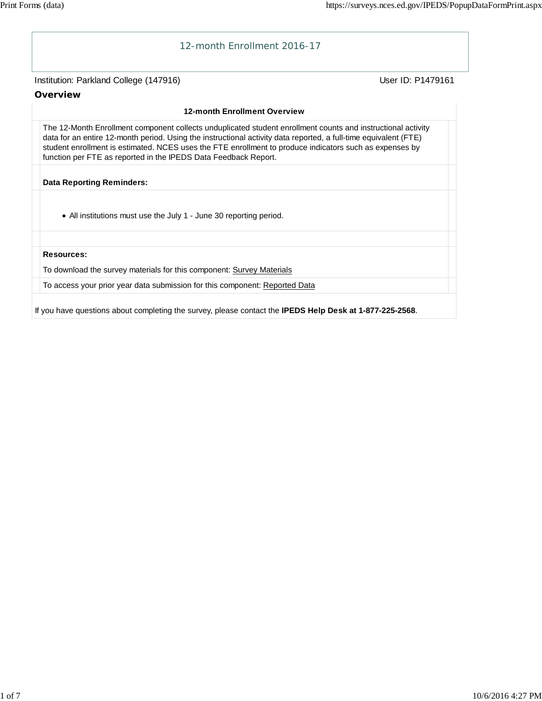

If you have questions about completing the survey, please contact the **IPEDS Help Desk at 1-877-225-2568**.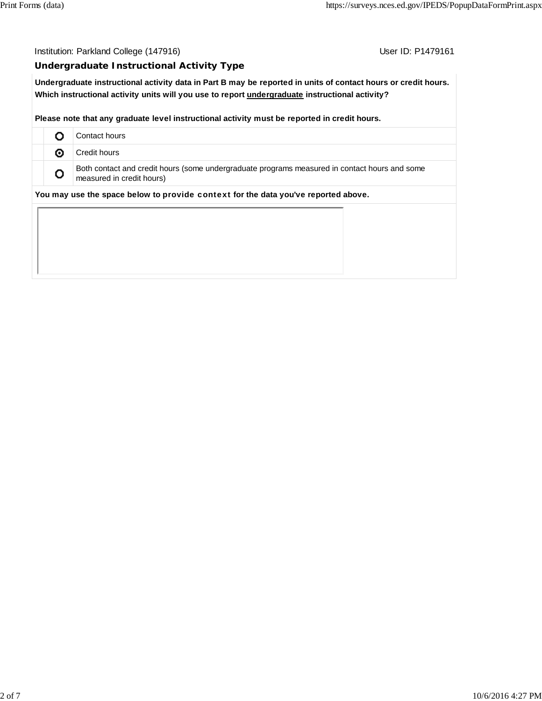Institution: Parkland College (147916) Contact College (147916)

#### **Undergraduate Instructional Activity Type**

**Undergraduate instructional activity data in Part B may be reported in units of contact hours or credit hours. Which instructional activity units will you use to report undergraduate instructional activity?**

**Please note that any graduate level instructional activity must be reported in credit hours.**

|   | Contact hours                                                                                                              |
|---|----------------------------------------------------------------------------------------------------------------------------|
| ⊙ | Credit hours                                                                                                               |
| o | Both contact and credit hours (some undergraduate programs measured in contact hours and some<br>measured in credit hours) |
|   | You may use the space below to provide context for the data you've reported above.                                         |
|   |                                                                                                                            |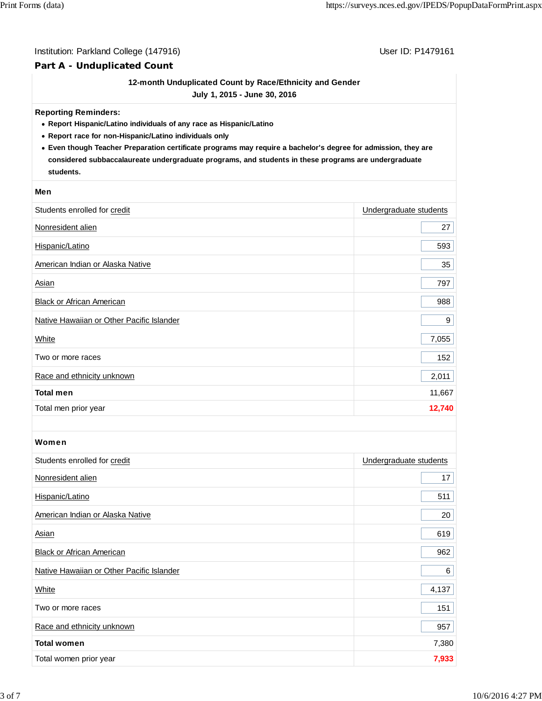#### Institution: Parkland College (147916) Contract College (147916)

#### **Part A - Unduplicated Count**

#### **12-month Unduplicated Count by Race/Ethnicity and Gender**

**July 1, 2015 - June 30, 2016**

#### **Reporting Reminders:**

- **Report Hispanic/Latino individuals of any race as Hispanic/Latino**
- **Report race for non-Hispanic/Latino individuals only**
- **Even though Teacher Preparation certificate programs may require a bachelor's degree for admission, they are considered subbaccalaureate undergraduate programs, and students in these programs are undergraduate students.**

#### **Men**

| Students enrolled for credit              | Undergraduate students |
|-------------------------------------------|------------------------|
| Nonresident alien                         | 27                     |
| Hispanic/Latino                           | 593                    |
| American Indian or Alaska Native          | 35                     |
| Asian                                     | 797                    |
| Black or African American                 | 988                    |
| Native Hawaiian or Other Pacific Islander | 9                      |
| White                                     | 7,055                  |
| Two or more races                         | 152                    |
| Race and ethnicity unknown                | 2,011                  |
| <b>Total men</b>                          | 11,667                 |
| Total men prior year                      | 12,740                 |

#### Women

| Students enrolled for credit              | Undergraduate students |
|-------------------------------------------|------------------------|
| Nonresident alien                         | 17                     |
| Hispanic/Latino                           | 511                    |
| American Indian or Alaska Native          | 20                     |
| Asian                                     | 619                    |
| <b>Black or African American</b>          | 962                    |
| Native Hawaiian or Other Pacific Islander | 6                      |
| White                                     | 4,137                  |
| Two or more races                         | 151                    |
| Race and ethnicity unknown                | 957                    |
| <b>Total women</b>                        | 7,380                  |
| Total women prior year                    | 7,933                  |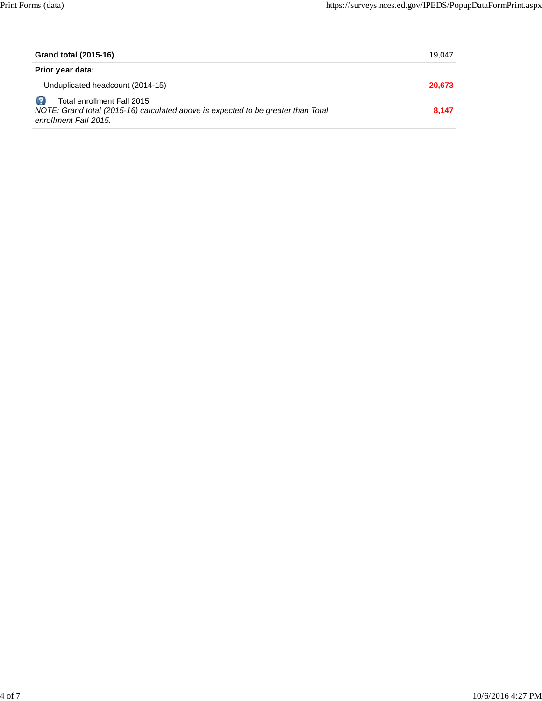| <b>Grand total (2015-16)</b>                                                                                                             | 19.047 |
|------------------------------------------------------------------------------------------------------------------------------------------|--------|
| Prior year data:                                                                                                                         |        |
| Unduplicated headcount (2014-15)                                                                                                         | 20,673 |
| Total enrollment Fall 2015<br>NOTE: Grand total (2015-16) calculated above is expected to be greater than Total<br>enrollment Fall 2015. | 8,147  |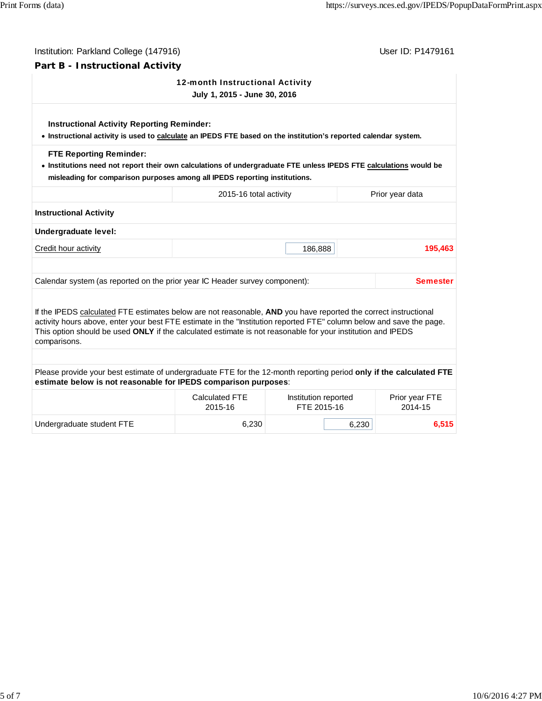| Institution: Parkland College (147916)                                                                                                                                                                                                                                                                                                                                 |                                                                 |                                     |                 | User ID: P1479161         |  |
|------------------------------------------------------------------------------------------------------------------------------------------------------------------------------------------------------------------------------------------------------------------------------------------------------------------------------------------------------------------------|-----------------------------------------------------------------|-------------------------------------|-----------------|---------------------------|--|
| Part B - Instructional Activity                                                                                                                                                                                                                                                                                                                                        |                                                                 |                                     |                 |                           |  |
|                                                                                                                                                                                                                                                                                                                                                                        | 12-month Instructional Activity<br>July 1, 2015 - June 30, 2016 |                                     |                 |                           |  |
| <b>Instructional Activity Reporting Reminder:</b><br>. Instructional activity is used to calculate an IPEDS FTE based on the institution's reported calendar system.                                                                                                                                                                                                   |                                                                 |                                     |                 |                           |  |
| <b>FTE Reporting Reminder:</b><br>. Institutions need not report their own calculations of undergraduate FTE unless IPEDS FTE calculations would be<br>misleading for comparison purposes among all IPEDS reporting institutions.                                                                                                                                      |                                                                 |                                     |                 |                           |  |
|                                                                                                                                                                                                                                                                                                                                                                        | 2015-16 total activity                                          |                                     | Prior year data |                           |  |
| <b>Instructional Activity</b>                                                                                                                                                                                                                                                                                                                                          |                                                                 |                                     |                 |                           |  |
| Undergraduate level:                                                                                                                                                                                                                                                                                                                                                   |                                                                 |                                     |                 |                           |  |
| Credit hour activity                                                                                                                                                                                                                                                                                                                                                   |                                                                 | 186,888                             |                 | 195,463                   |  |
| Calendar system (as reported on the prior year IC Header survey component):                                                                                                                                                                                                                                                                                            |                                                                 |                                     |                 | Semester                  |  |
| If the IPEDS calculated FTE estimates below are not reasonable, AND you have reported the correct instructional<br>activity hours above, enter your best FTE estimate in the "Institution reported FTE" column below and save the page.<br>This option should be used ONLY if the calculated estimate is not reasonable for your institution and IPEDS<br>comparisons. |                                                                 |                                     |                 |                           |  |
|                                                                                                                                                                                                                                                                                                                                                                        |                                                                 |                                     |                 |                           |  |
| Please provide your best estimate of undergraduate FTE for the 12-month reporting period only if the calculated FTE<br>estimate below is not reasonable for IPEDS comparison purposes:                                                                                                                                                                                 |                                                                 |                                     |                 |                           |  |
|                                                                                                                                                                                                                                                                                                                                                                        | Calculated FTE<br>2015-16                                       | Institution reported<br>FTE 2015-16 |                 | Prior year FTE<br>2014-15 |  |
| Undergraduate student FTE                                                                                                                                                                                                                                                                                                                                              | 6,230                                                           |                                     | 6,230           | 6,515                     |  |
|                                                                                                                                                                                                                                                                                                                                                                        |                                                                 |                                     |                 |                           |  |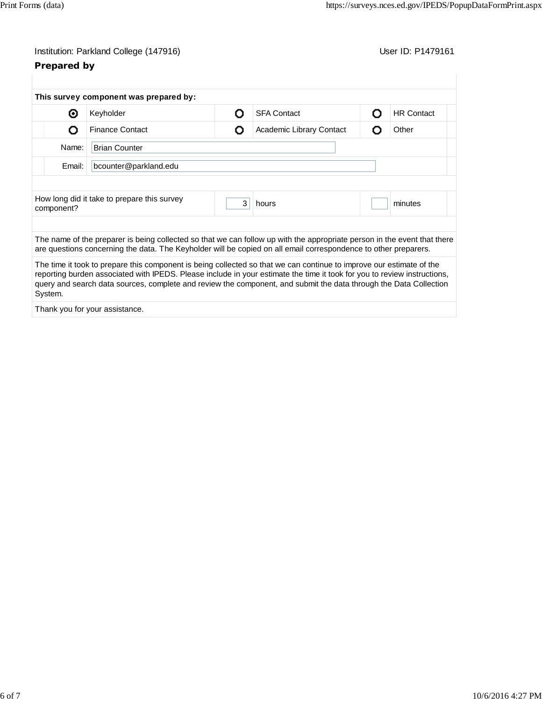# Institution: Parkland College (147916) Contract College (147916)

## **Prepared by**

|                                                                  | This survey component was prepared by:                                                                                                                                                                                                                                                                                                                                |   |                          |   |                   |
|------------------------------------------------------------------|-----------------------------------------------------------------------------------------------------------------------------------------------------------------------------------------------------------------------------------------------------------------------------------------------------------------------------------------------------------------------|---|--------------------------|---|-------------------|
| ⊙                                                                | Keyholder                                                                                                                                                                                                                                                                                                                                                             | Ω | <b>SFA Contact</b>       |   | <b>HR Contact</b> |
| O                                                                | <b>Finance Contact</b>                                                                                                                                                                                                                                                                                                                                                | Ο | Academic Library Contact | റ | Other             |
| Name:<br><b>Brian Counter</b><br>Email:<br>bcounter@parkland.edu |                                                                                                                                                                                                                                                                                                                                                                       |   |                          |   |                   |
|                                                                  |                                                                                                                                                                                                                                                                                                                                                                       |   |                          |   |                   |
|                                                                  | The name of the preparer is being collected so that we can follow up with the appropriate person in the event that there<br>are questions concerning the data. The Keyholder will be copied on all email correspondence to other preparers.                                                                                                                           |   |                          |   |                   |
| System.                                                          | The time it took to prepare this component is being collected so that we can continue to improve our estimate of the<br>reporting burden associated with IPEDS. Please include in your estimate the time it took for you to review instructions,<br>query and search data sources, complete and review the component, and submit the data through the Data Collection |   |                          |   |                   |
|                                                                  | Thank you for your assistance.                                                                                                                                                                                                                                                                                                                                        |   |                          |   |                   |